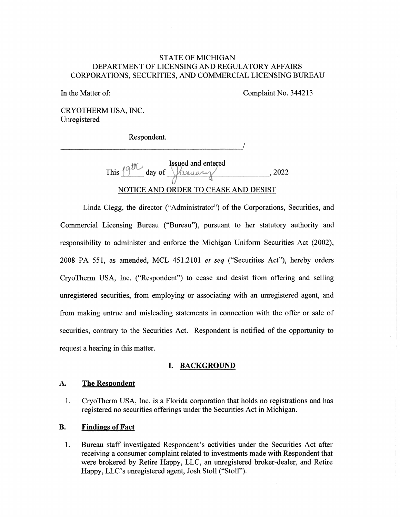# STATE OF MICHIGAN DEPARTMENT OF LICENSING AND REGULATORY AFFAIRS CORPORATIONS, SECURITIES, AND COMMERCIAL LICENSING BUREAU STATE OF MICHIGAN<br>DEPARTMENT OF LICENSING AND REGULATORY AFFAIRS<br>CORPORATIONS, SECURITIES, AND COMMERCIAL LICENSING BURE.<br>In the Matter of: Complaint No. 344213<br>CRYOTHERM USA, INC.<br>Unregistered

In the Matter of: Complaint No. 344213

CRYOTHERM USA, INC. Unregistered

Respondent.

Issued and entered This  $10^{\circ}$  day of  $\sqrt{\alpha_{\text{MUSY}}}\$ , 2022 NOTICE AND ORDER TO CEASE AND DESIST

Linda Clegg, the director ("Administrator") of the Corporations, Securities, and Commercial Licensing Bureau ("Bureau"), pursuant to her statutory authority and responsibility to administer and enforce the Michigan Uniform Securities Act (2002), 2008 PA 551, as amended, MCL 451.2101 et seq ("Securities Act"), hereby orders CryoTherm USA, Inc. ("Respondent") to cease and desist from offering and selling unregistered securities, from employing or associating with an unregistered agent, and from making untrue and misleading statements in connection with the offer or sale of securities, contrary to the Securities Act. Respondent is notified of the opportunity to request a hearing in this matter. This  $\frac{19}{\text{AU}}$  day of  $\frac{1}{\text{AMAU}}$  , 2022<br>
NOTICE AND ORDER TO CEASE AND DESIST<br>
Linda Clegg, the director ("Administrator") of the Corporations, Securities, and<br>
ercial Licensing Bureau ("Bureau"), pursuant to her s erm USA, Inc. ("Respondent") to cease and desist from offering and sellifiered securities, from employing or associating with an unregistered agent, a aking untrue and misleading statements in connection with the offer or

## I. BACKGROUND

## The Respondent

1. CryoTherm USA, Inc. is a Florida corporation that holds no registrations and has registered no securities offerings under the Securities Act in Michigan. Figure 1. A. The Respondent<br>
1. CryoTherm USA, Inc. is a Florida corporation that holds no registrations and has<br>
registered no securities offerings under the Securities Act in Michigan.<br>
1. Bureau staff investigated Respo

## B. Findings of Fact

1. Bureau staff investigated Respondent's activities under the Securities Act after receiving a consumer complaint related to investments made with Respondent that receiving a consumer complaint related to investments made with Respondent that<br>were brokered by Retire Happy, LLC, an unregistered broker-dealer, and Retire Happy, LLC's unregistered agent, Josh Stoll ("Stoll").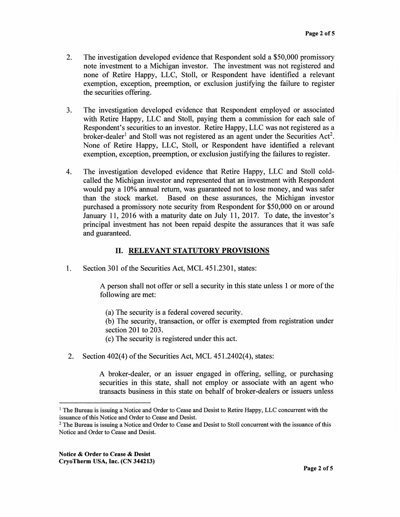- 2. The investigation developed evidence that Respondent sold a \$50,000 promissory Page 2 of 5<br>The investigation developed evidence that Respondent sold a \$50,000 promissory<br>note investment to a Michigan investor. The investment was not registered and none of Retire Happy, LLC, Stoll, or Respondent have identified a relevant exemption, exception, preemption, or exclusion justifying the failure to register the securities offering. exemption, exception, preemption, or exclusion justifying the failure to register the securities offering.
- 3. The investigation developed evidence that Respondent employed or associated with Retire Happy, LLC and Stoll, paying them a commission for each sale of Respondent's securities to an investor. Retire Happy, LLC was not registered as a broker-dealer<sup>1</sup> and Stoll was not registered as an agent under the Securities Act<sup>2</sup>. None of Retire Happy, LLC, Stoll, or Respondent have identified a relevant exemption, exception, preemption, or exclusion justifying the failures to register. with Retire Happy, LLC and Stoll, paying them a commission for each sale of Respondent's securities to an investor. Retire Happy, LLC was not registered as a broker-dealer<sup>1</sup> and Stoll was not registered as an agent under
- 4. The investigation developed evidence that Retire Happy, LLC and Stoll coldcalled the Michigan investor and represented that an investment with Respondent would pay a 10% annual return, was guaranteed not to lose money, and was safer than the stock market. Based on these assurances, the Michigan investor purchased a promissory note security from Respondent for \$50,000 on or around January 11, 2016 with a maturity date on July 11, 2017. To date, the investor's principal investment has not been repaid despite the assurances that it was safe and guaranteed. called the Michigan investor and represented that an investment with Respondent<br>would pay a 10% annual return, was guaranteed not to lose money, and was safer<br>than the stock market. Based on these assurances, the Michigan

# II. RELEVANT STATUTORY PROVISIONS

1. Section 301 of the Securities Act, MCL 451.2301, states:

A person shall not offer or sell a security in this state unless 1 or more of the following are met:

- (a) The security is a federal covered security.
- (b) The security, transaction, or offer is exempted from registration under section 201 to 203.
- (c) The security is registered under this act.
- 2. Section 402(4) of the Securities Act, MCL 451.2402(4), states:

A broker-dealer, or an issuer engaged in offering, selling, or purchasing securities in this state, shall not employ or associate with an agent who transacts business in this state on behalf of broker-dealers or issuers unless following are met:<br>
(a) The security is a federal covered security.<br>
(b) The security, transaction, or offer is exempted from registration under<br>
section 201 to 203.<br>
(c) The securities Act, MCL 451.2402(4), states:<br>
A br

Notice & Order to Cease & Desist CryoTherm USA, Inc. (CN 344213)

<sup>&</sup>lt;sup>1</sup> The Bureau is issuing a Notice and Order to Cease and Desist to Retire Happy, LLC concurrent with the issuance of this Notice and Order to Cease and Desist.

<sup>&</sup>lt;sup>2</sup> The Bureau is issuing a Notice and Order to Cease and Desist to Stoll concurrent with the issuance of this Notice and Order to Cease and Desist. Notice and Order to Cease and Desist.<br> **Notice & Order to Cease & Desist**<br> **CryoTherm USA, Inc. (CN 344213)**<br> **Page 2 of**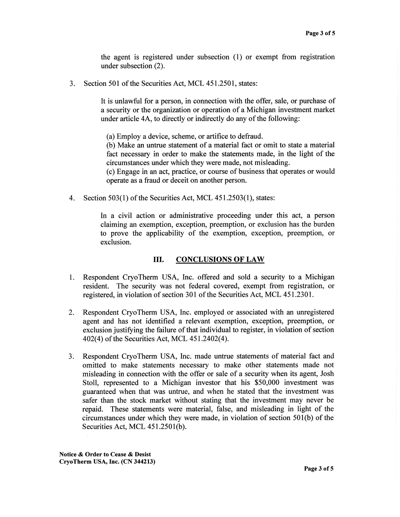the agent is registered under subsection (1) or exempt from registration under subsection (2).

3. Section 501 of the Securities Act, MCL 451.2501, states:

It is unlawful for a person, in connection with the offer, sale, or purchase of a security or the organization or operation of a Michigan investment market under article 4A, to directly or indirectly do any of the following:

(a) Employ a device, scheme, or artifice to defraud.

(b) Make an untrue statement of a material fact or omit to state a material fact necessary in order to make the statements made, in the light of the circumstances under which they were made, not misleading.

(c) Engage in an act, practice, or course of business that operates or would operate as a fraud or deceit on another person.

4. Section 503(1) of the Securities Act, MCL 451.2503(1), states:

In a civil action or administrative proceeding under this act, a person claiming an exemption, exception, preemption, or exclusion has the burden to prove the applicability of the exemption, exception, preemption, or exclusion.

## III. CONCLUSIONS OF LAW

- 1. Respondent CryoTherm USA, Inc. offered and sold a security to a Michigan resident. The security was not federal covered, exempt from registration, or registered, in violation of section 301 of the Securities Act, MCL 451.2301.
- 2. Respondent CryoTherm USA, Inc. employed or associated with an unregistered agent and has not identified a relevant exemption, exception, preemption, or exclusion justifying the failure of that individual to register, in violation of section 402(4) of the Securities Act, MCL 451.2402(4).
- 3. Respondent CryoTherm USA, Inc. made untrue statements of material fact and omitted to make statements necessary to make other statements made not misleading in connection with the offer or sale of a security when its agent, Josh Stoll, represented to a Michigan investor that his \$50,000 investment was guaranteed when that was untrue, and when he stated that the investment was safer than the stock market without stating that the investment may never be repaid. These statements were material, false, and misleading in light of the circumstances under which they were made, in violation of section 501(b) of the Securities Act, MCL 451.2501(b).

Notice & Order to Cease & Desist CryoTherm USA, Inc. (CN 344213)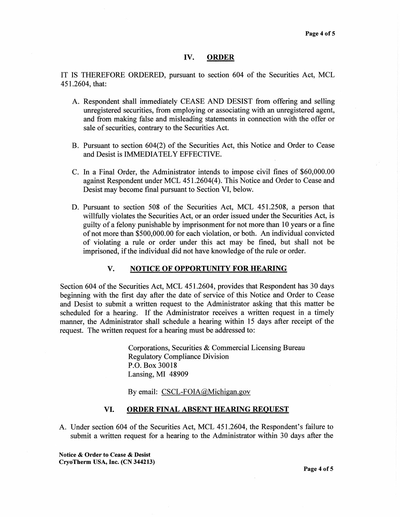## IV. ORDER

IT IS THEREFORE ORDERED, pursuant to section 604 of the Securities Act, MCL 451.2604, that:

- A. Respondent shall immediately CEASE AND DESIST from offering and selling unregistered securities, from employing or associating with an unregistered agent, and from making false and misleading statements in connection with the offer or sale of securities, contrary to the Securities Act.
- B. Pursuant to section 604(2) of the Securities Act, this Notice and Order to Cease and Desist is IMMEDIATELY EFFECTIVE.
- C. In a Final Order, the Administrator intends to impose civil fines of \$60,000.00 against Respondent under MCL 451.2604(4). This Notice and Order to Cease and Desist may become final pursuant to Section VI, below.
- D. Pursuant to section 508 of the Securities Act, MCL 451.2508, a person that willfully violates the Securities Act, or an order issued under the Securities Act, is guilty of a felony punishable by imprisonment for not more than 10 years or a fine of not more than \$500,000.00 for each violation, or both. An individual convicted of violating a rule or order under this act may be fined, but shall not be imprisoned, if the individual did not have knowledge of the rule or order.

## V. NOTICE OF OPPORTUNITY FOR HEARING

Section 604 of the Securities Act, MCL 451.2604, provides that Respondent has 30 days beginning with the first day after the date of service of this Notice and Order to Cease and Desist to submit a written request to the Administrator asking that this matter be scheduled for a hearing. If the Administrator receives a written request in a timely manner, the Administrator shall schedule a hearing within 15 days after receipt of the request. The written request for a hearing must be addressed to:

> Corporations, Securities & Commercial Licensing Bureau Regulatory Compliance Division P.O. Box 30018 Lansing, MI 48909

By email: CSCL-FOIA@Michigan.gov

## VI. ORDER FINAL ABSENT HEARING REQUEST

A. Under section 604 of the Securities Act, MCL 451.2604, the Respondent's failure to submit a written request for a hearing to the Administrator within 30 days after the

Notice & Order to Cease & Desist CryoTherm USA, Inc. (CN 344213)